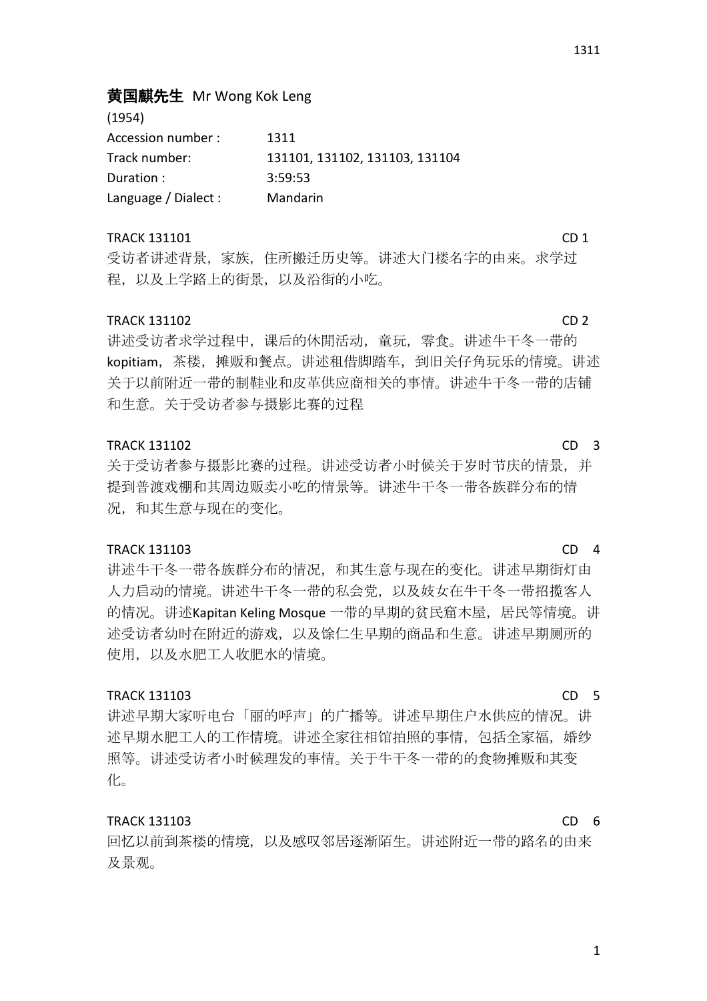# 黄国麒先生 Mr Wong Kok Leng

| (1954)               |                                |
|----------------------|--------------------------------|
| Accession number :   | 1311                           |
| Track number:        | 131101, 131102, 131103, 131104 |
| Duration :           | 3:59:53                        |
| Language / Dialect : | Mandarin                       |

#### TRACK 131101 CD 1

 $(1054)$ 

受访者讲述背景,家族,住所搬迁历史等。讲述大门楼名字的由来。求学过 程,以及上学路上的街景,以及沿街的小吃。

#### TRACK 131102 CD 2

讲述受访者求学过程中,课后的休閒活动,童玩,零食。讲述牛干冬一带的 kopitiam,茶楼,摊贩和餐点。讲述租借脚踏车,到旧关仔角玩乐的情境。讲述 关于以前附近一带的制鞋业和皮革供应商相关的事情。讲述牛干冬一带的店铺 和生意。关于受访者参与摄影比赛的过程

#### TRACK 131102 CD 3

关于受访者参与摄影比赛的过程。讲述受访者小时候关于岁时节庆的情景,并 提到普渡戏棚和其周边贩卖小吃的情景等。讲述牛干冬一带各族群分布的情 况,和其生意与现在的变化。

#### TRACK 131103 CD 4

讲述牛干冬一带各族群分布的情况,和其生意与现在的变化。讲述早期街灯由 人力启动的情境。讲述牛干冬一带的私会党,以及妓女在牛干冬一带招揽客人 的情况。讲述Kapitan Keling Mosque 一带的早期的贫民窟木屋, 居民等情境。讲 述受访者幼时在附近的游戏,以及馀仁生早期的商品和生意。讲述早期厕所的 使用,以及水肥工人收肥水的情境。

### TRACK 131103 CD 5

讲述早期大家听电台「丽的呼声」的广播等。讲述早期住户水供应的情况。讲 述早期水肥工人的工作情境。讲述全家往相馆拍照的事情,包括全家福,婚纱 照等。讲述受访者小时候理发的事情。关于牛干冬一带的的食物摊贩和其变 化。

#### TRACK 131103 CD 6

回忆以前到茶楼的情境,以及感叹邻居逐渐陌生。讲述附近一带的路名的由来 及景观。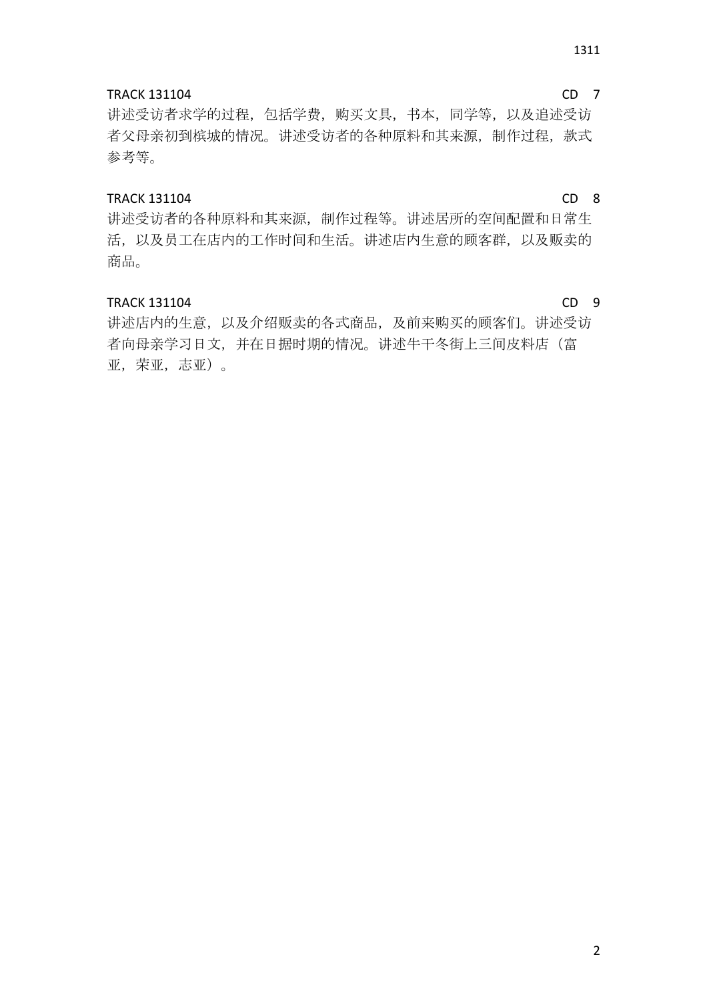### TRACK 131104 CD 7

讲述受访者求学的过程,包括学费,购买文具,书本,同学等,以及追述受访 者父母亲初到槟城的情况。讲述受访者的各种原料和其来源, 制作过程, 款式 参考等。

### TRACK 131104 CD 8

讲述受访者的各种原料和其来源,制作过程等。讲述居所的空间配置和日常生 活,以及员工在店内的工作时间和生活。讲述店内生意的顾客群,以及贩卖的 商品。

#### TRACK 131104 CD 9

讲述店内的生意,以及介绍贩卖的各式商品,及前来购买的顾客们。讲述受访 者向母亲学习日文,并在日据时期的情况。讲述牛干冬街上三间皮料店(富 亚,荣亚,志亚)。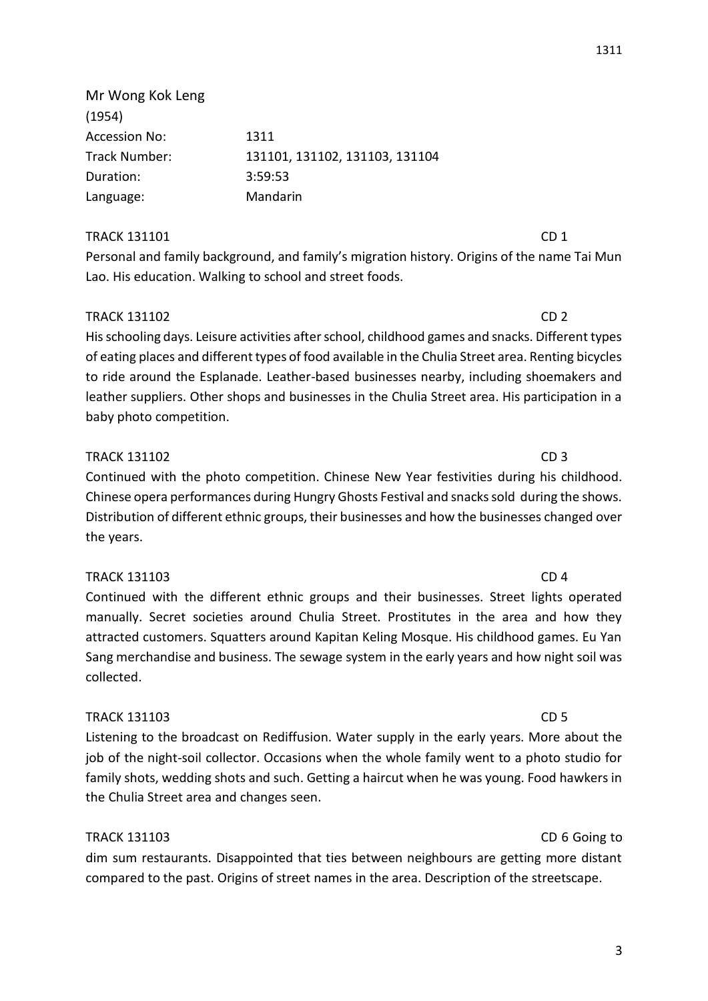Mr Wong Kok Leng (1954) Accession No: 1311 Track Number: 131101, 131102, 131103, 131104 Duration: 3:59:53 Language: Mandarin

### TRACK 131101 CD 1

Personal and family background, and family's migration history. Origins of the name Tai Mun Lao. His education. Walking to school and street foods.

### TRACK 131102 CD 2

His schooling days. Leisure activities after school, childhood games and snacks. Different types of eating places and different types of food available in the Chulia Street area. Renting bicycles to ride around the Esplanade. Leather-based businesses nearby, including shoemakers and leather suppliers. Other shops and businesses in the Chulia Street area. His participation in a baby photo competition.

### TRACK 131102 CD 3

Continued with the photo competition. Chinese New Year festivities during his childhood. Chinese opera performances during Hungry Ghosts Festival and snacks sold during the shows. Distribution of different ethnic groups, their businesses and how the businesses changed over the years.

### TRACK 131103 CD 4

Continued with the different ethnic groups and their businesses. Street lights operated manually. Secret societies around Chulia Street. Prostitutes in the area and how they attracted customers. Squatters around Kapitan Keling Mosque. His childhood games. Eu Yan Sang merchandise and business. The sewage system in the early years and how night soil was collected.

### TRACK 131103 CD 5

Listening to the broadcast on Rediffusion. Water supply in the early years. More about the job of the night-soil collector. Occasions when the whole family went to a photo studio for family shots, wedding shots and such. Getting a haircut when he was young. Food hawkers in the Chulia Street area and changes seen.

### TRACK 131103 CD 6 Going to

dim sum restaurants. Disappointed that ties between neighbours are getting more distant compared to the past. Origins of street names in the area. Description of the streetscape.

#### 3